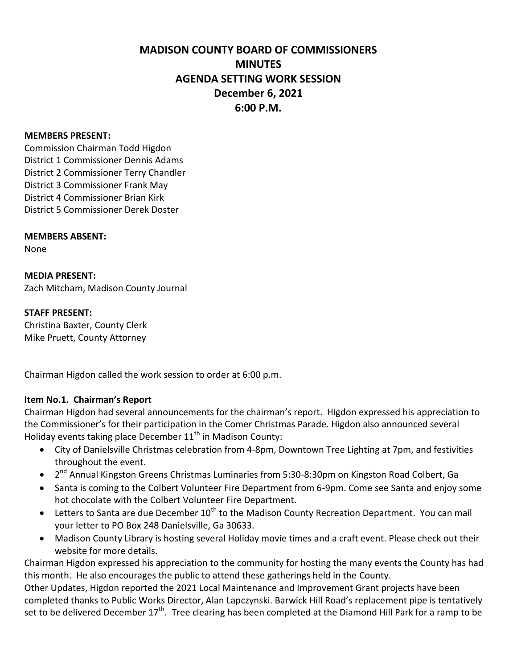# **MADISON COUNTY BOARD OF COMMISSIONERS MINUTES AGENDA SETTING WORK SESSION December 6, 2021 6:00 P.M.**

#### **MEMBERS PRESENT:**

Commission Chairman Todd Higdon District 1 Commissioner Dennis Adams District 2 Commissioner Terry Chandler District 3 Commissioner Frank May District 4 Commissioner Brian Kirk District 5 Commissioner Derek Doster

#### **MEMBERS ABSENT:**

None

**MEDIA PRESENT:** Zach Mitcham, Madison County Journal

#### **STAFF PRESENT:**

Christina Baxter, County Clerk Mike Pruett, County Attorney

Chairman Higdon called the work session to order at 6:00 p.m.

### **Item No.1. Chairman's Report**

Chairman Higdon had several announcements for the chairman's report. Higdon expressed his appreciation to the Commissioner's for their participation in the Comer Christmas Parade. Higdon also announced several Holiday events taking place December  $11<sup>th</sup>$  in Madison County:

- City of Danielsville Christmas celebration from 4-8pm, Downtown Tree Lighting at 7pm, and festivities throughout the event.
- 2<sup>nd</sup> Annual Kingston Greens Christmas Luminaries from 5:30-8:30pm on Kingston Road Colbert, Ga
- Santa is coming to the Colbert Volunteer Fire Department from 6-9pm. Come see Santa and enjoy some hot chocolate with the Colbert Volunteer Fire Department.
- **•** Letters to Santa are due December  $10^{th}$  to the Madison County Recreation Department. You can mail your letter to PO Box 248 Danielsville, Ga 30633.
- Madison County Library is hosting several Holiday movie times and a craft event. Please check out their website for more details.

Chairman Higdon expressed his appreciation to the community for hosting the many events the County has had this month. He also encourages the public to attend these gatherings held in the County.

Other Updates, Higdon reported the 2021 Local Maintenance and Improvement Grant projects have been completed thanks to Public Works Director, Alan Lapczynski. Barwick Hill Road's replacement pipe is tentatively set to be delivered December 17<sup>th</sup>. Tree clearing has been completed at the Diamond Hill Park for a ramp to be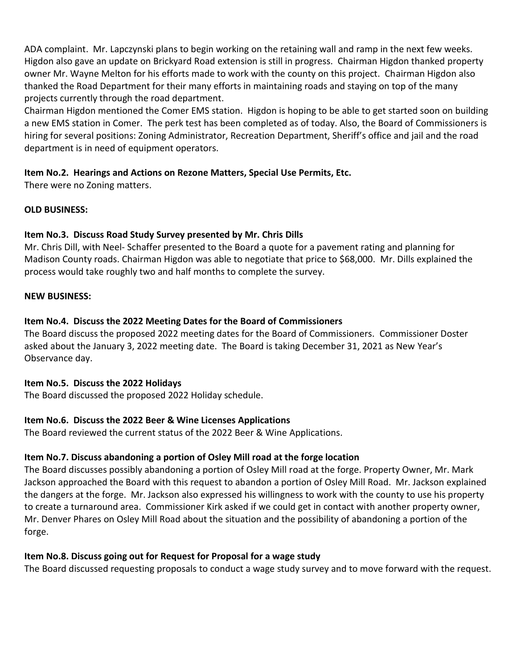ADA complaint. Mr. Lapczynski plans to begin working on the retaining wall and ramp in the next few weeks. Higdon also gave an update on Brickyard Road extension is still in progress. Chairman Higdon thanked property owner Mr. Wayne Melton for his efforts made to work with the county on this project. Chairman Higdon also thanked the Road Department for their many efforts in maintaining roads and staying on top of the many projects currently through the road department.

Chairman Higdon mentioned the Comer EMS station. Higdon is hoping to be able to get started soon on building a new EMS station in Comer. The perk test has been completed as of today. Also, the Board of Commissioners is hiring for several positions: Zoning Administrator, Recreation Department, Sheriff's office and jail and the road department is in need of equipment operators.

### **Item No.2. Hearings and Actions on Rezone Matters, Special Use Permits, Etc.**

There were no Zoning matters.

## **OLD BUSINESS:**

## **Item No.3. Discuss Road Study Survey presented by Mr. Chris Dills**

Mr. Chris Dill, with Neel- Schaffer presented to the Board a quote for a pavement rating and planning for Madison County roads. Chairman Higdon was able to negotiate that price to \$68,000. Mr. Dills explained the process would take roughly two and half months to complete the survey.

#### **NEW BUSINESS:**

## **Item No.4. Discuss the 2022 Meeting Dates for the Board of Commissioners**

The Board discuss the proposed 2022 meeting dates for the Board of Commissioners. Commissioner Doster asked about the January 3, 2022 meeting date. The Board is taking December 31, 2021 as New Year's Observance day.

### **Item No.5. Discuss the 2022 Holidays**

The Board discussed the proposed 2022 Holiday schedule.

## **Item No.6. Discuss the 2022 Beer & Wine Licenses Applications**

The Board reviewed the current status of the 2022 Beer & Wine Applications.

## **Item No.7. Discuss abandoning a portion of Osley Mill road at the forge location**

The Board discusses possibly abandoning a portion of Osley Mill road at the forge. Property Owner, Mr. Mark Jackson approached the Board with this request to abandon a portion of Osley Mill Road. Mr. Jackson explained the dangers at the forge. Mr. Jackson also expressed his willingness to work with the county to use his property to create a turnaround area. Commissioner Kirk asked if we could get in contact with another property owner, Mr. Denver Phares on Osley Mill Road about the situation and the possibility of abandoning a portion of the forge.

### **Item No.8. Discuss going out for Request for Proposal for a wage study**

The Board discussed requesting proposals to conduct a wage study survey and to move forward with the request.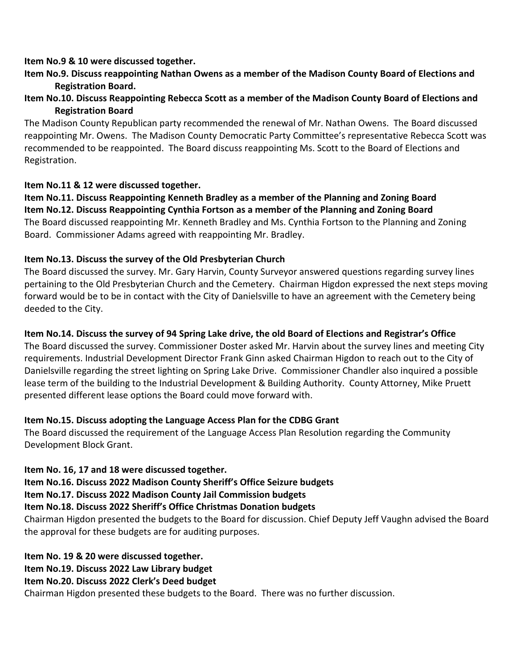#### **Item No.9 & 10 were discussed together.**

## **Item No.9. Discuss reappointing Nathan Owens as a member of the Madison County Board of Elections and Registration Board.**

### **Item No.10. Discuss Reappointing Rebecca Scott as a member of the Madison County Board of Elections and Registration Board**

The Madison County Republican party recommended the renewal of Mr. Nathan Owens. The Board discussed reappointing Mr. Owens. The Madison County Democratic Party Committee's representative Rebecca Scott was recommended to be reappointed. The Board discuss reappointing Ms. Scott to the Board of Elections and Registration.

#### **Item No.11 & 12 were discussed together.**

**Item No.11. Discuss Reappointing Kenneth Bradley as a member of the Planning and Zoning Board Item No.12. Discuss Reappointing Cynthia Fortson as a member of the Planning and Zoning Board** The Board discussed reappointing Mr. Kenneth Bradley and Ms. Cynthia Fortson to the Planning and Zoning Board. Commissioner Adams agreed with reappointing Mr. Bradley.

### **Item No.13. Discuss the survey of the Old Presbyterian Church**

The Board discussed the survey. Mr. Gary Harvin, County Surveyor answered questions regarding survey lines pertaining to the Old Presbyterian Church and the Cemetery. Chairman Higdon expressed the next steps moving forward would be to be in contact with the City of Danielsville to have an agreement with the Cemetery being deeded to the City.

## **Item No.14. Discuss the survey of 94 Spring Lake drive, the old Board of Elections and Registrar's Office**

The Board discussed the survey. Commissioner Doster asked Mr. Harvin about the survey lines and meeting City requirements. Industrial Development Director Frank Ginn asked Chairman Higdon to reach out to the City of Danielsville regarding the street lighting on Spring Lake Drive. Commissioner Chandler also inquired a possible lease term of the building to the Industrial Development & Building Authority. County Attorney, Mike Pruett presented different lease options the Board could move forward with.

### **Item No.15. Discuss adopting the Language Access Plan for the CDBG Grant**

The Board discussed the requirement of the Language Access Plan Resolution regarding the Community Development Block Grant.

### **Item No. 16, 17 and 18 were discussed together.**

**Item No.16. Discuss 2022 Madison County Sheriff's Office Seizure budgets**

**Item No.17. Discuss 2022 Madison County Jail Commission budgets**

**Item No.18. Discuss 2022 Sheriff's Office Christmas Donation budgets**

Chairman Higdon presented the budgets to the Board for discussion. Chief Deputy Jeff Vaughn advised the Board the approval for these budgets are for auditing purposes.

**Item No. 19 & 20 were discussed together.**

**Item No.19. Discuss 2022 Law Library budget**

**Item No.20. Discuss 2022 Clerk's Deed budget**

Chairman Higdon presented these budgets to the Board. There was no further discussion.